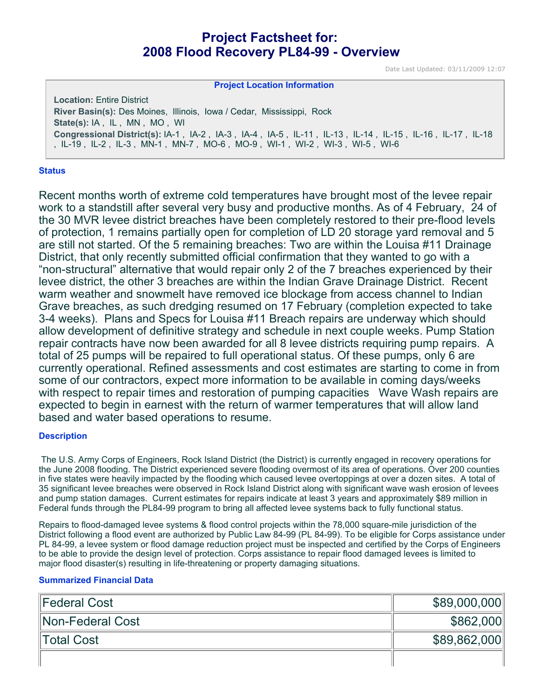# **Project Factsheet for: 2008 Flood Recovery PL84-99 - Overview**

Date Last Updated: 03/11/2009 12:07

#### **Project Location Information**

**Location:** Entire District **River Basin(s):** Des Moines, Illinois, Iowa / Cedar, Mississippi, Rock **State(s):** IA , IL , MN , MO , WI **Congressional District(s):** IA-1 , IA-2 , IA-3 , IA-4 , IA-5 , IL-11 , IL-13 , IL-14 , IL-15 , IL-16 , IL-17 , IL-18 , IL-19 , IL-2 , IL-3 , MN-1 , MN-7 , MO-6 , MO-9 , WI-1 , WI-2 , WI-3 , WI-5 , WI-6

#### **Status**

Recent months worth of extreme cold temperatures have brought most of the levee repair work to a standstill after several very busy and productive months. As of 4 February, 24 of the 30 MVR levee district breaches have been completely restored to their pre-flood levels of protection, 1 remains partially open for completion of LD 20 storage yard removal and 5 are still not started. Of the 5 remaining breaches: Two are within the Louisa #11 Drainage District, that only recently submitted official confirmation that they wanted to go with a "non-structural" alternative that would repair only 2 of the 7 breaches experienced by their levee district, the other 3 breaches are within the Indian Grave Drainage District. Recent warm weather and snowmelt have removed ice blockage from access channel to Indian Grave breaches, as such dredging resumed on 17 February (completion expected to take 3-4 weeks). Plans and Specs for Louisa #11 Breach repairs are underway which should allow development of definitive strategy and schedule in next couple weeks. Pump Station repair contracts have now been awarded for all 8 levee districts requiring pump repairs. A total of 25 pumps will be repaired to full operational status. Of these pumps, only 6 are currently operational. Refined assessments and cost estimates are starting to come in from some of our contractors, expect more information to be available in coming days/weeks with respect to repair times and restoration of pumping capacities Wave Wash repairs are expected to begin in earnest with the return of warmer temperatures that will allow land based and water based operations to resume.

### **Description**

 The U.S. Army Corps of Engineers, Rock Island District (the District) is currently engaged in recovery operations for the June 2008 flooding. The District experienced severe flooding overmost of its area of operations. Over 200 counties in five states were heavily impacted by the flooding which caused levee overtoppings at over a dozen sites. A total of 35 significant levee breaches were observed in Rock Island District along with significant wave wash erosion of levees and pump station damages. Current estimates for repairs indicate at least 3 years and approximately \$89 million in Federal funds through the PL84-99 program to bring all affected levee systems back to fully functional status.

Repairs to flood-damaged levee systems & flood control projects within the 78,000 square-mile jurisdiction of the District following a flood event are authorized by Public Law 84-99 (PL 84-99). To be eligible for Corps assistance under PL 84-99, a levee system or flood damage reduction project must be inspected and certified by the Corps of Engineers to be able to provide the design level of protection. Corps assistance to repair flood damaged levees is limited to major flood disaster(s) resulting in life-threatening or property damaging situations.

#### **Summarized Financial Data**

| Federal Cost     | \$89,000,000 |
|------------------|--------------|
| Non-Federal Cost | \$862,000    |
| Total Cost       | \$89,862,000 |
|                  |              |